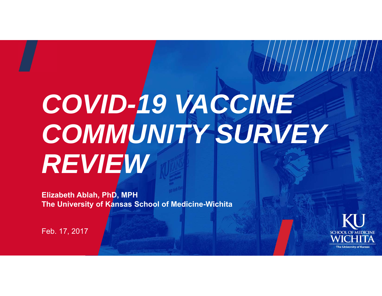# *COVID-19 VACCINE COMMUNITY SURVEY REVIEW*

**Elizabeth Ablah, PhD, MPH The University of Kansas School of Medicine-Wichita**



 $\frac{1}{2}$ 

Feb. 17, 2017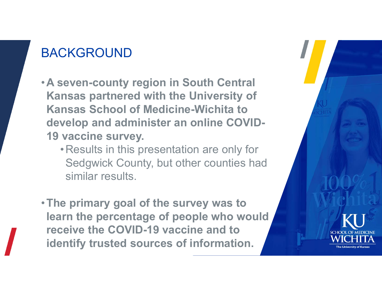## BACKGROUND

- •**A seven-county region in South Central Kansas partnered with the University of Kansas School of Medicine-Wichita to develop and administer an online COVID-19 vaccine survey.** 
	- •Results in this presentation are only for Sedgwick County, but other counties had similar results.
- •**The primary goal of the survey was to learn the percentage of people who would receive the COVID-19 vaccine and to identify trusted sources of information.**

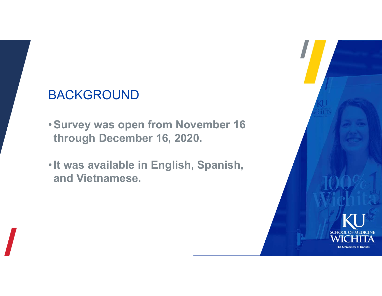# BACKGROUND

- •**Survey was open from November 16 through December 16, 2020.**
- •**It was available in English, Spanish, and Vietnamese.**

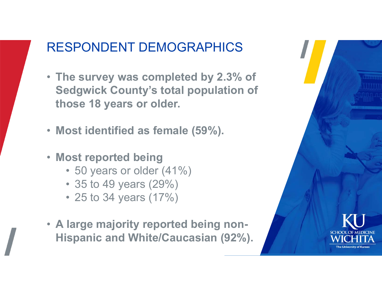## RESPONDENT DEMOGRAPHICS

- **The survey was completed by 2.3% of Sedgwick County's total population of those 18 years or older.**
- **Most identified as female (59%).**
- **Most reported being**
	- 50 years or older (41%)
	- 35 to 49 years (29%)
	- 25 to 34 years (17%)
- **A large majority reported being non-Hispanic and White/Caucasian (92%).**

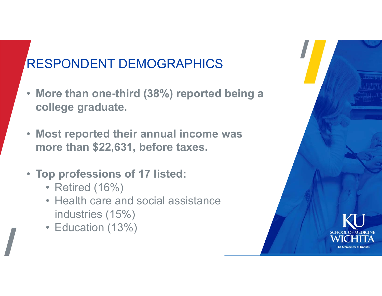# RESPONDENT DEMOGRAPHICS

- **More than one-third (38%) reported being a college graduate.**
- **Most reported their annual income was more than \$22,631, before taxes.**
- **Top professions of 17 listed:**
	- Retired (16%)
	- Health care and social assistance industries (15%)
	- Education (13%)

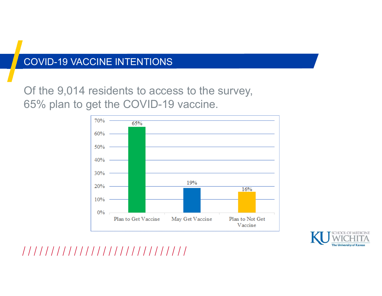#### COVID-19 VACCINE INTENTIONS

Of the 9,014 residents to access to the survey, 65% plan to get the COVID-19 vaccine.





//////////////////////////////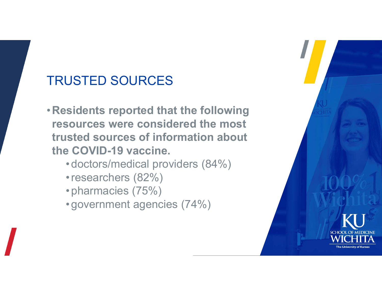# TRUSTED SOURCES

- •**Residents reported that the following resources were considered the most trusted sources of information about the COVID-19 vaccine.** 
	- •doctors/medical providers (84%)
	- •researchers (82%)
	- •pharmacies (75%)
	- •government agencies (74%)

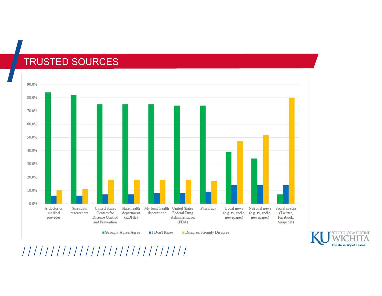#### TRUSTED SOURCES





///////////////////////////////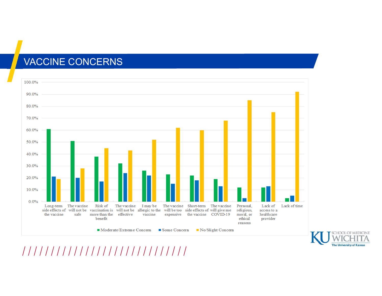#### VACCINE CONCERNS





//////////////////////////////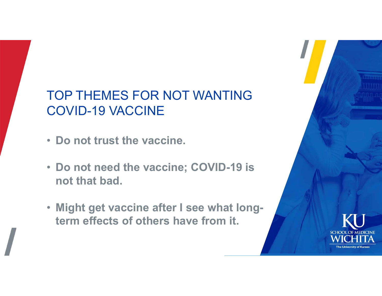# TOP THEMES FOR NOT WANTING COVID-19 VACCINE

- **Do not trust the vaccine.**
- **Do not need the vaccine; COVID-19 is not that bad.**
- **Might get vaccine after I see what longterm effects of others have from it.**

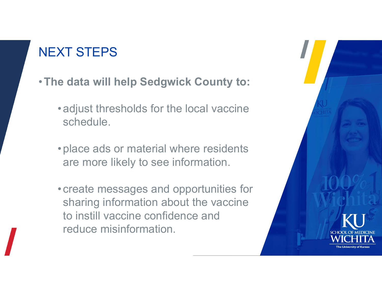# NEXT STEPS

- •**The data will help Sedgwick County to:**
	- •adjust thresholds for the local vaccine schedule.
	- •place ads or material where residents are more likely to see information.
	- •create messages and opportunities for sharing information about the vaccine to instill vaccine confidence and reduce misinformation.